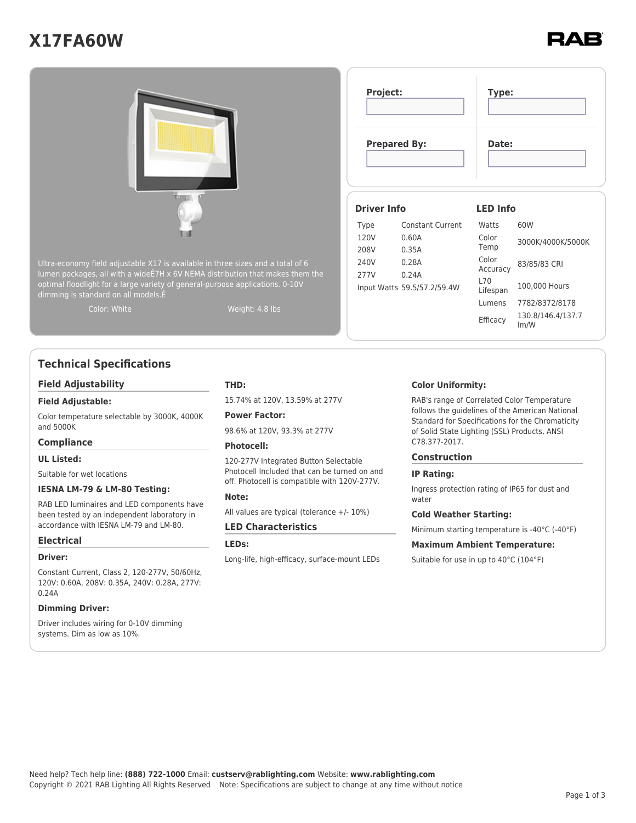# **X17FA60W**



## **Technical Specifications**

#### **Field Adjustability**

#### **Field Adjustable:**

Color temperature selectable by 3000K, 4000K and 5000K

#### **Compliance**

#### **UL Listed:**

Suitable for wet locations

#### **IESNA LM-79 & LM-80 Testing:**

RAB LED luminaires and LED components have been tested by an independent laboratory in accordance with IESNA LM-79 and LM-80.

#### **Electrical**

#### **Driver:**

Constant Current, Class 2, 120-277V, 50/60Hz, 120V: 0.60A, 208V: 0.35A, 240V: 0.28A, 277V: 0.24A

#### **Dimming Driver:**

Driver includes wiring for 0-10V dimming systems. Dim as low as 10%.

#### **THD:**

15.74% at 120V, 13.59% at 277V

**Power Factor:** 98.6% at 120V, 93.3% at 277V

#### **Photocell:**

120-277V Integrated Button Selectable Photocell Included that can be turned on and off. Photocell is compatible with 120V-277V.

#### **Note:**

All values are typical (tolerance +/- 10%)

#### **LED Characteristics**

**LEDs:**

Long-life, high-efficacy, surface-mount LEDs

#### **Color Uniformity:**

RAB's range of Correlated Color Temperature follows the guidelines of the American National Standard for Specifications for the Chromaticity of Solid State Lighting (SSL) Products, ANSI C78.377-2017.

#### **Construction**

#### **IP Rating:**

Ingress protection rating of IP65 for dust and water

#### **Cold Weather Starting:**

Minimum starting temperature is -40°C (-40°F)

#### **Maximum Ambient Temperature:**

Suitable for use in up to 40°C (104°F)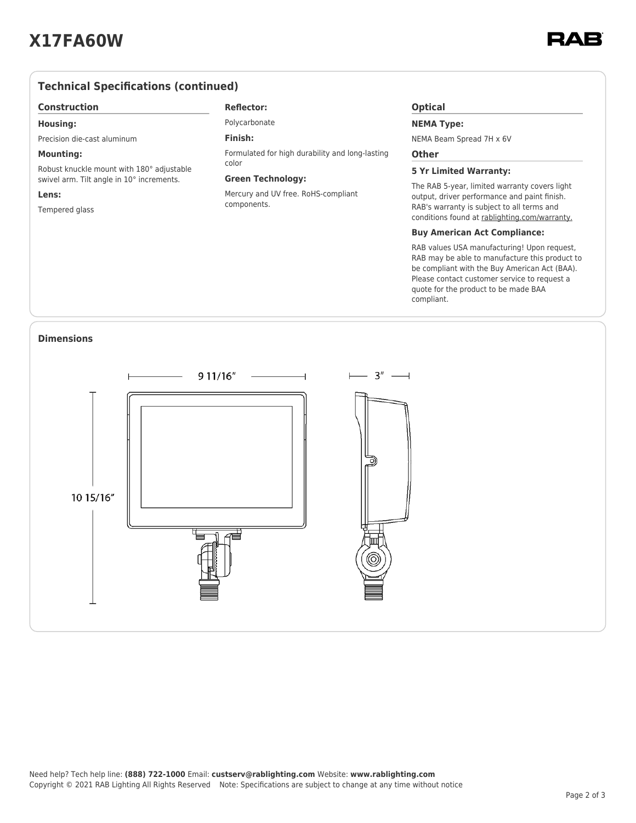### **Technical Specifications (continued)**

#### **Construction**

#### **Housing:**

Precision die-cast aluminum

#### **Mounting:**

Robust knuckle mount with 180° adjustable swivel arm. Tilt angle in 10° increments.

#### **Lens:**

Tempered glass

#### **Reflector:**

Polycarbonate

### **Finish:**

Formulated for high durability and long-lasting color

#### **Green Technology:**

Mercury and UV free. RoHS-compliant components.

#### **Optical**

#### **NEMA Type:**

NEMA Beam Spread 7H x 6V

#### **Other**

#### **5 Yr Limited Warranty:**

The RAB 5-year, limited warranty covers light output, driver performance and paint finish. RAB's warranty is subject to all terms and conditions found at [rablighting.com/warranty.](https://www.rablighting.com/legal#warranty)

#### **Buy American Act Compliance:**

RAB values USA manufacturing! Upon request, RAB may be able to manufacture this product to be compliant with the Buy American Act (BAA). Please contact customer service to request a quote for the product to be made BAA compliant.